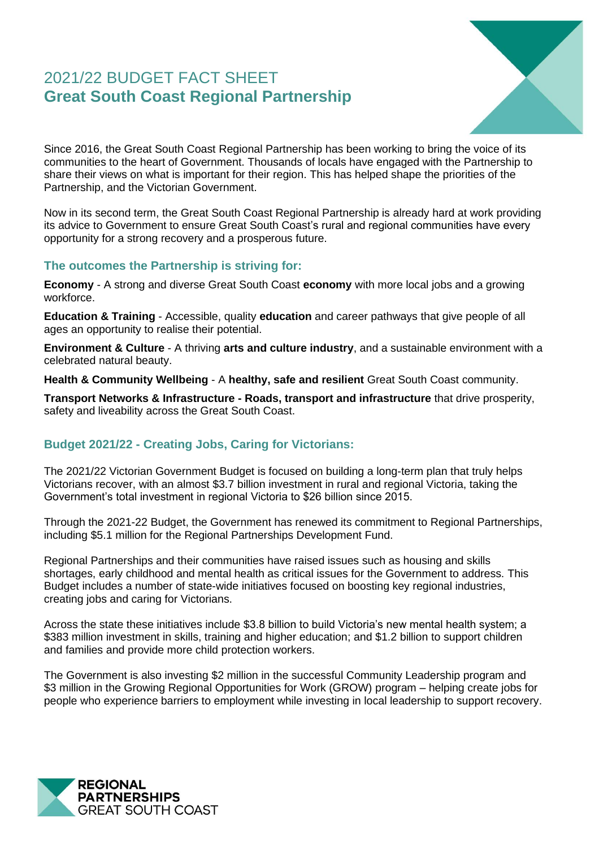# 2021/22 BUDGET FACT SHEET **Great South Coast Regional Partnership**



Since 2016, the Great South Coast Regional Partnership has been working to bring the voice of its communities to the heart of Government. Thousands of locals have engaged with the Partnership to share their views on what is important for their region. This has helped shape the priorities of the Partnership, and the Victorian Government.

Now in its second term, the Great South Coast Regional Partnership is already hard at work providing its advice to Government to ensure Great South Coast's rural and regional communities have every opportunity for a strong recovery and a prosperous future.

#### **The outcomes the Partnership is striving for:**

**Economy** - A strong and diverse Great South Coast **economy** with more local jobs and a growing workforce.

**Education & Training** - Accessible, quality **education** and career pathways that give people of all ages an opportunity to realise their potential.

**Environment & Culture** - A thriving **arts and culture industry**, and a sustainable environment with a celebrated natural beauty.

**Health & Community Wellbeing** - A **healthy, safe and resilient** Great South Coast community.

**Transport Networks & Infrastructure - Roads, transport and infrastructure** that drive prosperity, safety and liveability across the Great South Coast.

# **Budget 2021/22 - Creating Jobs, Caring for Victorians:**

The 2021/22 Victorian Government Budget is focused on building a long-term plan that truly helps Victorians recover, with an almost \$3.7 billion investment in rural and regional Victoria, taking the Government's total investment in regional Victoria to \$26 billion since 2015.

Through the 2021-22 Budget, the Government has renewed its commitment to Regional Partnerships, including \$5.1 million for the Regional Partnerships Development Fund.

Regional Partnerships and their communities have raised issues such as housing and skills shortages, early childhood and mental health as critical issues for the Government to address. This Budget includes a number of state-wide initiatives focused on boosting key regional industries, creating jobs and caring for Victorians.

Across the state these initiatives include \$3.8 billion to build Victoria's new mental health system; a \$383 million investment in skills, training and higher education; and \$1.2 billion to support children and families and provide more child protection workers.

The Government is also investing \$2 million in the successful Community Leadership program and \$3 million in the Growing Regional Opportunities for Work (GROW) program – helping create jobs for people who experience barriers to employment while investing in local leadership to support recovery.

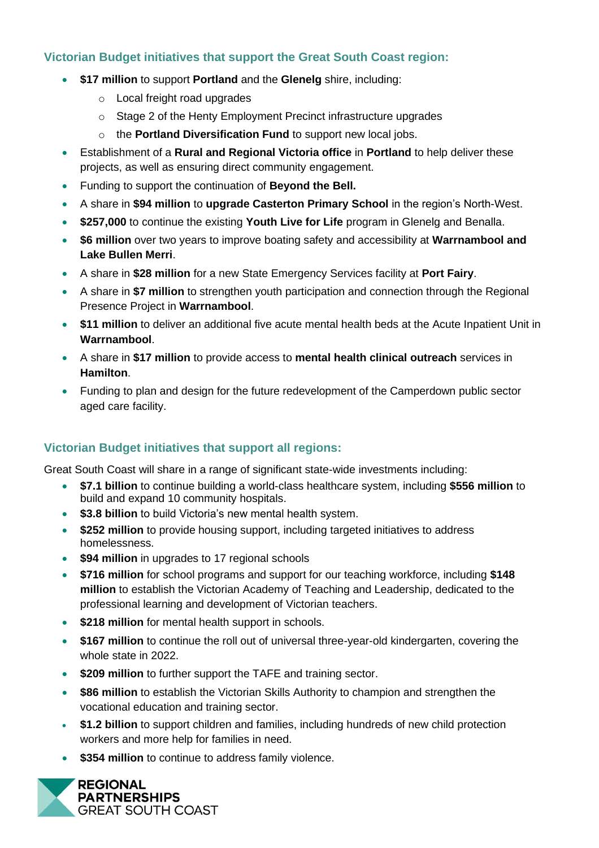## **Victorian Budget initiatives that support the Great South Coast region:**

- **\$17 million** to support **Portland** and the **Glenelg** shire, including:
	- o Local freight road upgrades
	- o Stage 2 of the Henty Employment Precinct infrastructure upgrades
	- o the **Portland Diversification Fund** to support new local jobs.
- Establishment of a **Rural and Regional Victoria office** in **Portland** to help deliver these projects, as well as ensuring direct community engagement.
- Funding to support the continuation of **Beyond the Bell.**
- A share in **\$94 million** to **upgrade Casterton Primary School** in the region's North-West.
- **\$257,000** to continue the existing **Youth Live for Life** program in Glenelg and Benalla.
- **\$6 million** over two years to improve boating safety and accessibility at **Warrnambool and Lake Bullen Merri**.
- A share in **\$28 million** for a new State Emergency Services facility at **Port Fairy**.
- A share in **\$7 million** to strengthen youth participation and connection through the Regional Presence Project in **Warrnambool**.
- **\$11 million** to deliver an additional five acute mental health beds at the Acute Inpatient Unit in **Warrnambool**.
- A share in **\$17 million** to provide access to **mental health clinical outreach** services in **Hamilton**.
- Funding to plan and design for the future redevelopment of the Camperdown public sector aged care facility.

### **Victorian Budget initiatives that support all regions:**

Great South Coast will share in a range of significant state-wide investments including:

- **\$7.1 billion** to continue building a world-class healthcare system, including **\$556 million** to build and expand 10 community hospitals.
- **\$3.8 billion** to build Victoria's new mental health system.
- **\$252 million** to provide housing support, including targeted initiatives to address homelessness.
- **\$94 million** in upgrades to 17 regional schools
- **\$716 million** for school programs and support for our teaching workforce, including **\$148 million** to establish the Victorian Academy of Teaching and Leadership, dedicated to the professional learning and development of Victorian teachers.
- \$218 million for mental health support in schools.
- **\$167 million** to continue the roll out of universal three-year-old kindergarten, covering the whole state in 2022.
- **\$209 million** to further support the TAFE and training sector.
- **\$86 million** to establish the Victorian Skills Authority to champion and strengthen the vocational education and training sector.
- **\$1.2 billion** to support children and families, including hundreds of new child protection workers and more help for families in need.
- **\$354 million** to continue to address family violence.